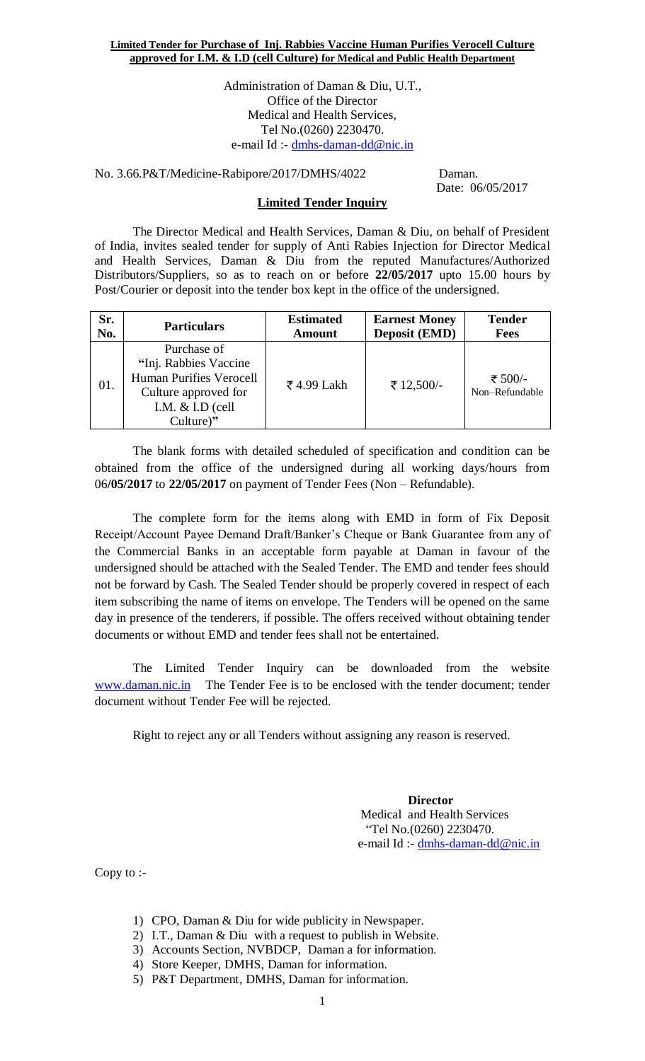Administration of Daman & Diu, U.T., Office of the Director Medical and Health Services, Tel No.(0260) 2230470. e-mail Id :- [dmhs-daman-dd@nic.in](mailto:dmhs-daman-dd@nic.in)

No. 3.66.P&T/Medicine-Rabipore/2017/DMHS/4022 Daman.

Date: 06/05/2017

### **Limited Tender Inquiry**

The Director Medical and Health Services, Daman & Diu, on behalf of President of India, invites sealed tender for supply of Anti Rabies Injection for Director Medical and Health Services, Daman & Diu from the reputed Manufactures/Authorized Distributors/Suppliers, so as to reach on or before **22/05/2017** upto 15.00 hours by Post/Courier or deposit into the tender box kept in the office of the undersigned.

| Sr. | <b>Particulars</b>                                                                                                                 | <b>Estimated</b> | <b>Earnest Money</b> | <b>Tender</b>             |
|-----|------------------------------------------------------------------------------------------------------------------------------------|------------------|----------------------|---------------------------|
| No. |                                                                                                                                    | <b>Amount</b>    | <b>Deposit (EMD)</b> | <b>Fees</b>               |
| 01. | Purchase of<br>"Inj. Rabbies Vaccine"<br><b>Human Purifies Verocell</b><br>Culture approved for<br>I.M. $&$ I.D (cell<br>Culture)" | ₹4.99 Lakh       | ₹ 12,500/-           | ₹ 500/-<br>Non-Refundable |

The blank forms with detailed scheduled of specification and condition can be obtained from the office of the undersigned during all working days/hours from 06**/05/2017** to **22/05/2017** on payment of Tender Fees (Non – Refundable).

The complete form for the items along with EMD in form of Fix Deposit Receipt/Account Payee Demand Draft/Banker's Cheque or Bank Guarantee from any of the Commercial Banks in an acceptable form payable at Daman in favour of the undersigned should be attached with the Sealed Tender. The EMD and tender fees should not be forward by Cash. The Sealed Tender should be properly covered in respect of each item subscribing the name of items on envelope. The Tenders will be opened on the same day in presence of the tenderers, if possible. The offers received without obtaining tender documents or without EMD and tender fees shall not be entertained.

The Limited Tender Inquiry can be downloaded from the website [www.daman.nic.in](http://www.daman.nic.in/) The Tender Fee is to be enclosed with the tender document; tender document without Tender Fee will be rejected.

Right to reject any or all Tenders without assigning any reason is reserved.

 **Director**  Medical and Health Services "Tel No.(0260) 2230470. e-mail Id :- [dmhs-daman-dd@nic.in](mailto:dmhs-daman-dd@nic.in)

Copy to :-

- 1) CPO, Daman & Diu for wide publicity in Newspaper.
- 2) I.T., Daman & Diu with a request to publish in Website.
- 3) Accounts Section, NVBDCP, Daman a for information.
- 4) Store Keeper, DMHS, Daman for information.
- 5) P&T Department, DMHS, Daman for information.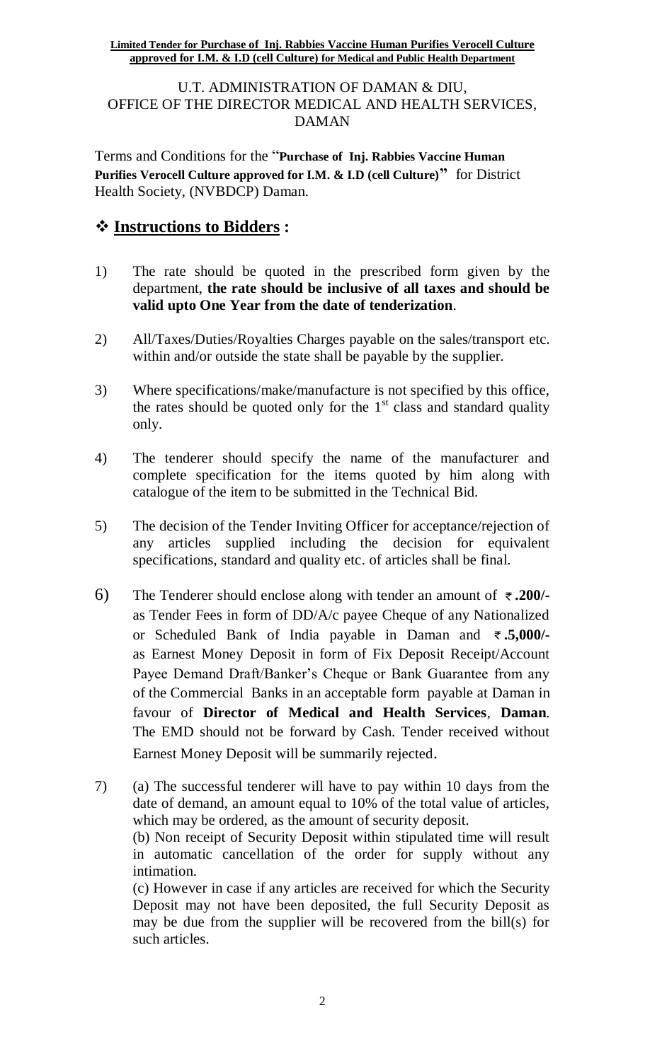U.T. ADMINISTRATION OF DAMAN & DIU, OFFICE OF THE DIRECTOR MEDICAL AND HEALTH SERVICES, DAMAN

Terms and Conditions for the "**Purchase of Inj. Rabbies Vaccine Human Purifies Verocell Culture approved for I.M. & I.D (cell Culture)"** for District Health Society, (NVBDCP) Daman.

## **Instructions to Bidders :**

- 1) The rate should be quoted in the prescribed form given by the department, **the rate should be inclusive of all taxes and should be valid upto One Year from the date of tenderization**.
- 2) All/Taxes/Duties/Royalties Charges payable on the sales/transport etc. within and/or outside the state shall be payable by the supplier.
- 3) Where specifications/make/manufacture is not specified by this office, the rates should be quoted only for the  $1<sup>st</sup>$  class and standard quality only.
- 4) The tenderer should specify the name of the manufacturer and complete specification for the items quoted by him along with catalogue of the item to be submitted in the Technical Bid.
- 5) The decision of the Tender Inviting Officer for acceptance/rejection of any articles supplied including the decision for equivalent specifications, standard and quality etc. of articles shall be final.
- 6) The Tenderer should enclose along with tender an amount of **.200/** as Tender Fees in form of DD/A/c payee Cheque of any Nationalized or Scheduled Bank of India payable in Daman and **.5,000/** as Earnest Money Deposit in form of Fix Deposit Receipt/Account Payee Demand Draft/Banker's Cheque or Bank Guarantee from any of the Commercial Banks in an acceptable form payable at Daman in favour of **Director of Medical and Health Services**, **Daman**. The EMD should not be forward by Cash. Tender received without Earnest Money Deposit will be summarily rejected.
- 7) (a) The successful tenderer will have to pay within 10 days from the date of demand, an amount equal to 10% of the total value of articles, which may be ordered, as the amount of security deposit. (b) Non receipt of Security Deposit within stipulated time will result in automatic cancellation of the order for supply without any intimation. (c) However in case if any articles are received for which the Security Deposit may not have been deposited, the full Security Deposit as may be due from the supplier will be recovered from the bill(s) for such articles.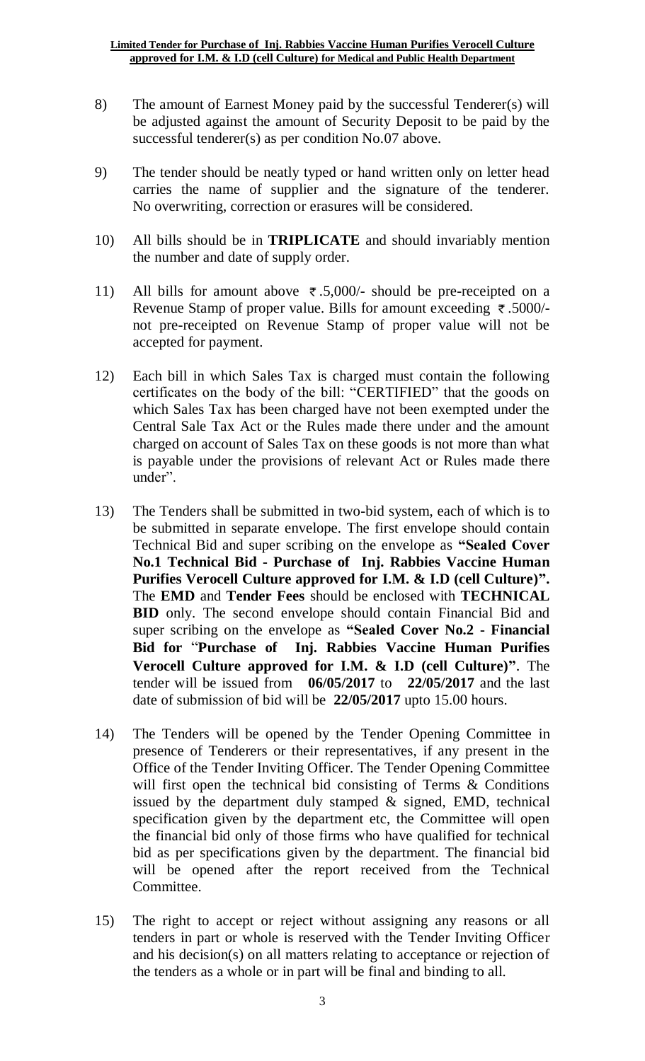- 8) The amount of Earnest Money paid by the successful Tenderer(s) will be adjusted against the amount of Security Deposit to be paid by the successful tenderer(s) as per condition No.07 above.
- 9) The tender should be neatly typed or hand written only on letter head carries the name of supplier and the signature of the tenderer. No overwriting, correction or erasures will be considered.
- 10) All bills should be in **TRIPLICATE** and should invariably mention the number and date of supply order.
- 11) All bills for amount above  $\overline{\tau}$ .5,000/- should be pre-receipted on a Revenue Stamp of proper value. Bills for amount exceeding  $\bar{\tau}$ .5000/not pre-receipted on Revenue Stamp of proper value will not be accepted for payment.
- 12) Each bill in which Sales Tax is charged must contain the following certificates on the body of the bill: "CERTIFIED" that the goods on which Sales Tax has been charged have not been exempted under the Central Sale Tax Act or the Rules made there under and the amount charged on account of Sales Tax on these goods is not more than what is payable under the provisions of relevant Act or Rules made there under".
- 13) The Tenders shall be submitted in two-bid system, each of which is to be submitted in separate envelope. The first envelope should contain Technical Bid and super scribing on the envelope as **"Sealed Cover No.1 Technical Bid - Purchase of Inj. Rabbies Vaccine Human Purifies Verocell Culture approved for I.M. & I.D (cell Culture)".** The **EMD** and **Tender Fees** should be enclosed with **TECHNICAL BID** only. The second envelope should contain Financial Bid and super scribing on the envelope as **"Sealed Cover No.2 - Financial Bid for** "**Purchase of Inj. Rabbies Vaccine Human Purifies Verocell Culture approved for I.M. & I.D (cell Culture)"**. The tender will be issued from **06/05/2017** to **22/05/2017** and the last date of submission of bid will be **22/05/2017** upto 15.00 hours.
- 14) The Tenders will be opened by the Tender Opening Committee in presence of Tenderers or their representatives, if any present in the Office of the Tender Inviting Officer. The Tender Opening Committee will first open the technical bid consisting of Terms & Conditions issued by the department duly stamped  $\&$  signed, EMD, technical specification given by the department etc, the Committee will open the financial bid only of those firms who have qualified for technical bid as per specifications given by the department. The financial bid will be opened after the report received from the Technical Committee.
- 15) The right to accept or reject without assigning any reasons or all tenders in part or whole is reserved with the Tender Inviting Officer and his decision(s) on all matters relating to acceptance or rejection of the tenders as a whole or in part will be final and binding to all.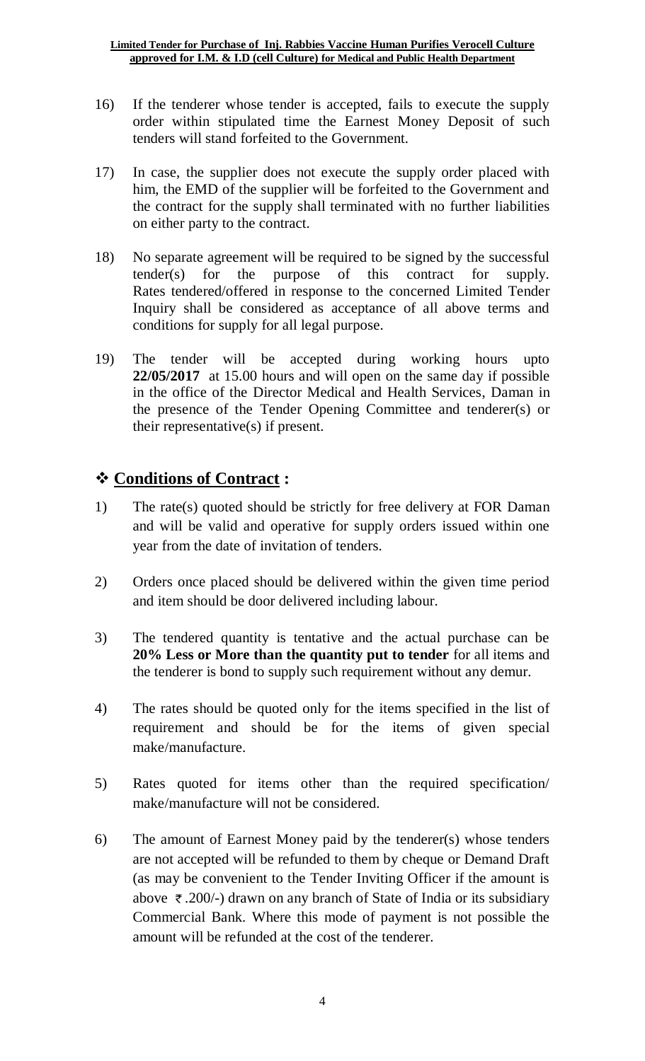- 16) If the tenderer whose tender is accepted, fails to execute the supply order within stipulated time the Earnest Money Deposit of such tenders will stand forfeited to the Government.
- 17) In case, the supplier does not execute the supply order placed with him, the EMD of the supplier will be forfeited to the Government and the contract for the supply shall terminated with no further liabilities on either party to the contract.
- 18) No separate agreement will be required to be signed by the successful tender(s) for the purpose of this contract for supply. Rates tendered/offered in response to the concerned Limited Tender Inquiry shall be considered as acceptance of all above terms and conditions for supply for all legal purpose.
- 19) The tender will be accepted during working hours upto **22/05/2017** at 15.00 hours and will open on the same day if possible in the office of the Director Medical and Health Services, Daman in the presence of the Tender Opening Committee and tenderer(s) or their representative(s) if present.

# **Conditions of Contract :**

- 1) The rate(s) quoted should be strictly for free delivery at FOR Daman and will be valid and operative for supply orders issued within one year from the date of invitation of tenders.
- 2) Orders once placed should be delivered within the given time period and item should be door delivered including labour.
- 3) The tendered quantity is tentative and the actual purchase can be **20% Less or More than the quantity put to tender** for all items and the tenderer is bond to supply such requirement without any demur.
- 4) The rates should be quoted only for the items specified in the list of requirement and should be for the items of given special make/manufacture.
- 5) Rates quoted for items other than the required specification/ make/manufacture will not be considered.
- 6) The amount of Earnest Money paid by the tenderer(s) whose tenders are not accepted will be refunded to them by cheque or Demand Draft (as may be convenient to the Tender Inviting Officer if the amount is above  $\bar{\tau}$ . 200/-) drawn on any branch of State of India or its subsidiary Commercial Bank. Where this mode of payment is not possible the amount will be refunded at the cost of the tenderer.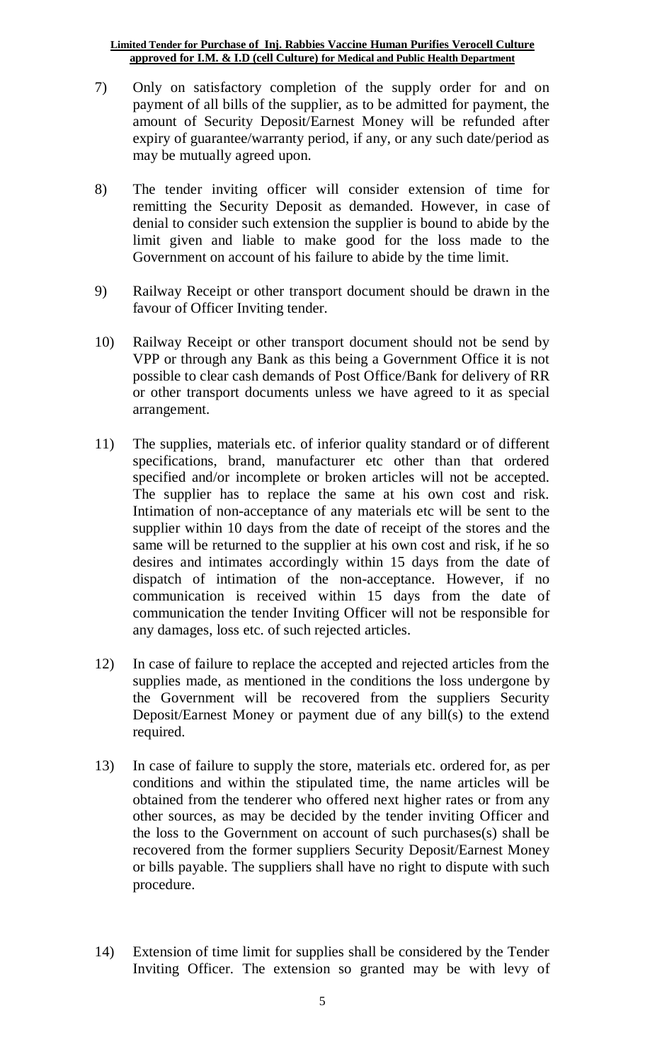- 7) Only on satisfactory completion of the supply order for and on payment of all bills of the supplier, as to be admitted for payment, the amount of Security Deposit/Earnest Money will be refunded after expiry of guarantee/warranty period, if any, or any such date/period as may be mutually agreed upon.
- 8) The tender inviting officer will consider extension of time for remitting the Security Deposit as demanded. However, in case of denial to consider such extension the supplier is bound to abide by the limit given and liable to make good for the loss made to the Government on account of his failure to abide by the time limit.
- 9) Railway Receipt or other transport document should be drawn in the favour of Officer Inviting tender.
- 10) Railway Receipt or other transport document should not be send by VPP or through any Bank as this being a Government Office it is not possible to clear cash demands of Post Office/Bank for delivery of RR or other transport documents unless we have agreed to it as special arrangement.
- 11) The supplies, materials etc. of inferior quality standard or of different specifications, brand, manufacturer etc other than that ordered specified and/or incomplete or broken articles will not be accepted. The supplier has to replace the same at his own cost and risk. Intimation of non-acceptance of any materials etc will be sent to the supplier within 10 days from the date of receipt of the stores and the same will be returned to the supplier at his own cost and risk, if he so desires and intimates accordingly within 15 days from the date of dispatch of intimation of the non-acceptance. However, if no communication is received within 15 days from the date of communication the tender Inviting Officer will not be responsible for any damages, loss etc. of such rejected articles.
- 12) In case of failure to replace the accepted and rejected articles from the supplies made, as mentioned in the conditions the loss undergone by the Government will be recovered from the suppliers Security Deposit/Earnest Money or payment due of any bill(s) to the extend required.
- 13) In case of failure to supply the store, materials etc. ordered for, as per conditions and within the stipulated time, the name articles will be obtained from the tenderer who offered next higher rates or from any other sources, as may be decided by the tender inviting Officer and the loss to the Government on account of such purchases(s) shall be recovered from the former suppliers Security Deposit/Earnest Money or bills payable. The suppliers shall have no right to dispute with such procedure.
- 14) Extension of time limit for supplies shall be considered by the Tender Inviting Officer. The extension so granted may be with levy of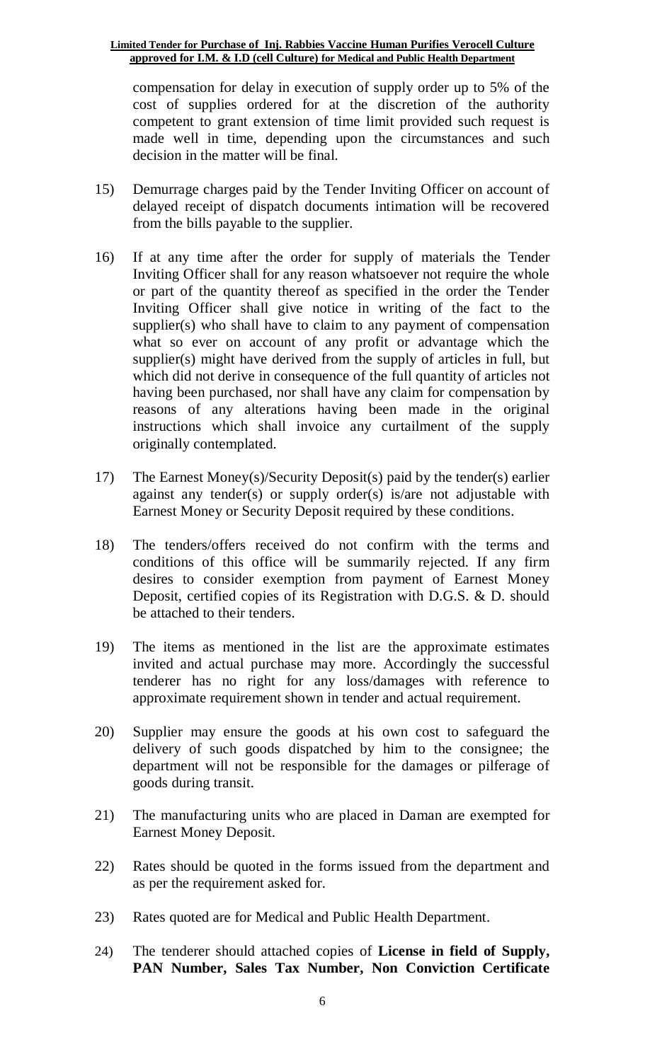compensation for delay in execution of supply order up to 5% of the cost of supplies ordered for at the discretion of the authority competent to grant extension of time limit provided such request is made well in time, depending upon the circumstances and such decision in the matter will be final.

- 15) Demurrage charges paid by the Tender Inviting Officer on account of delayed receipt of dispatch documents intimation will be recovered from the bills payable to the supplier.
- 16) If at any time after the order for supply of materials the Tender Inviting Officer shall for any reason whatsoever not require the whole or part of the quantity thereof as specified in the order the Tender Inviting Officer shall give notice in writing of the fact to the supplier(s) who shall have to claim to any payment of compensation what so ever on account of any profit or advantage which the supplier(s) might have derived from the supply of articles in full, but which did not derive in consequence of the full quantity of articles not having been purchased, nor shall have any claim for compensation by reasons of any alterations having been made in the original instructions which shall invoice any curtailment of the supply originally contemplated.
- 17) The Earnest Money(s)/Security Deposit(s) paid by the tender(s) earlier against any tender(s) or supply order(s) is/are not adjustable with Earnest Money or Security Deposit required by these conditions.
- 18) The tenders/offers received do not confirm with the terms and conditions of this office will be summarily rejected. If any firm desires to consider exemption from payment of Earnest Money Deposit, certified copies of its Registration with D.G.S. & D. should be attached to their tenders.
- 19) The items as mentioned in the list are the approximate estimates invited and actual purchase may more. Accordingly the successful tenderer has no right for any loss/damages with reference to approximate requirement shown in tender and actual requirement.
- 20) Supplier may ensure the goods at his own cost to safeguard the delivery of such goods dispatched by him to the consignee; the department will not be responsible for the damages or pilferage of goods during transit.
- 21) The manufacturing units who are placed in Daman are exempted for Earnest Money Deposit.
- 22) Rates should be quoted in the forms issued from the department and as per the requirement asked for.
- 23) Rates quoted are for Medical and Public Health Department.
- 24) The tenderer should attached copies of **License in field of Supply, PAN Number, Sales Tax Number, Non Conviction Certificate**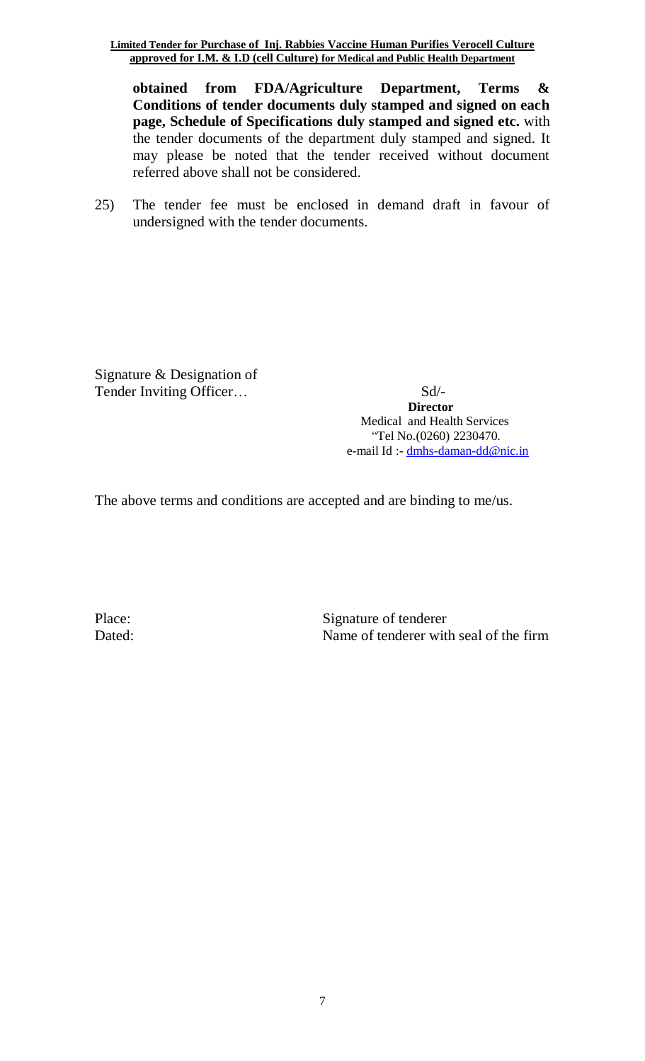**obtained from FDA/Agriculture Department, Terms & Conditions of tender documents duly stamped and signed on each page, Schedule of Specifications duly stamped and signed etc.** with the tender documents of the department duly stamped and signed. It may please be noted that the tender received without document referred above shall not be considered.

25) The tender fee must be enclosed in demand draft in favour of undersigned with the tender documents.

Signature & Designation of Tender Inviting Officer… Sd/-

 **Director**  Medical and Health Services "Tel No.(0260) 2230470. e-mail Id :- [dmhs-daman-dd@nic.in](mailto:dmhs-daman-dd@nic.in)

The above terms and conditions are accepted and are binding to me/us.

Place: Signature of tenderer Dated: Name of tenderer with seal of the firm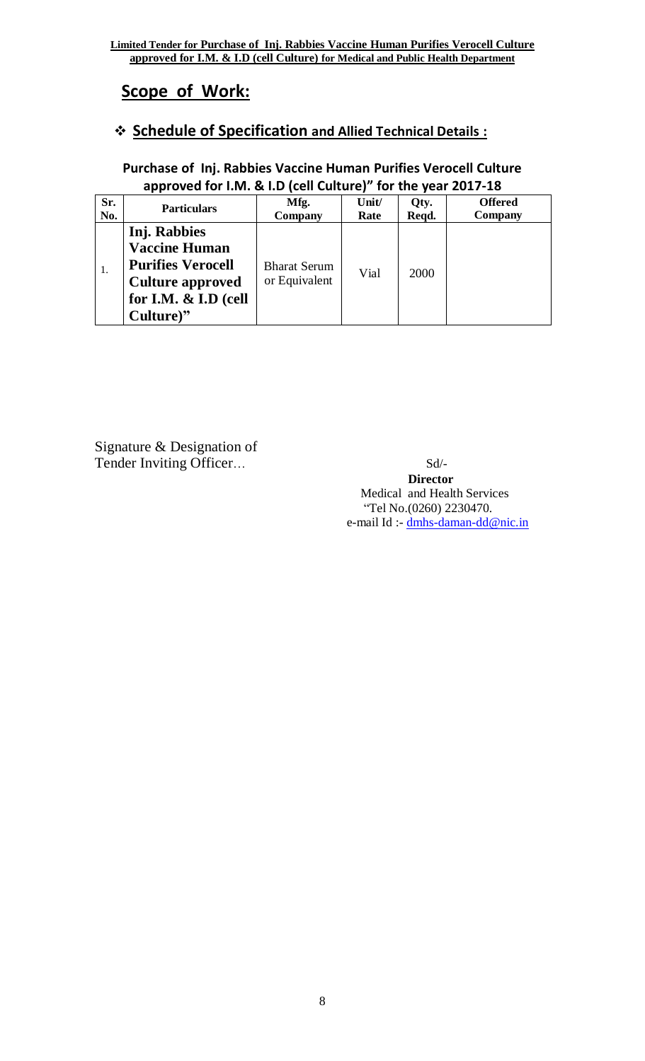# **Scope of Work:**

# **Schedule of Specification and Allied Technical Details :**

## **Purchase of Inj. Rabbies Vaccine Human Purifies Verocell Culture approved for I.M. & I.D (cell Culture)" for the year 2017-18**

| Sr.<br>No. | <b>Particulars</b>                                                                                                               | Mfg.<br>Company                      | Unit/<br>Rate | Qty.<br>Reqd. | <b>Offered</b><br>Company |
|------------|----------------------------------------------------------------------------------------------------------------------------------|--------------------------------------|---------------|---------------|---------------------------|
| 1.         | Inj. Rabbies<br><b>Vaccine Human</b><br><b>Purifies Verocell</b><br><b>Culture approved</b><br>for I.M. & I.D (cell<br>Culture)" | <b>Bharat Serum</b><br>or Equivalent | Vial          | 2000          |                           |

Signature & Designation of Tender Inviting Officer… Sd/-

### **Director**  Medical and Health Services "Tel No.(0260) 2230470. e-mail Id :- [dmhs-daman-dd@nic.in](mailto:dmhs-daman-dd@nic.in)